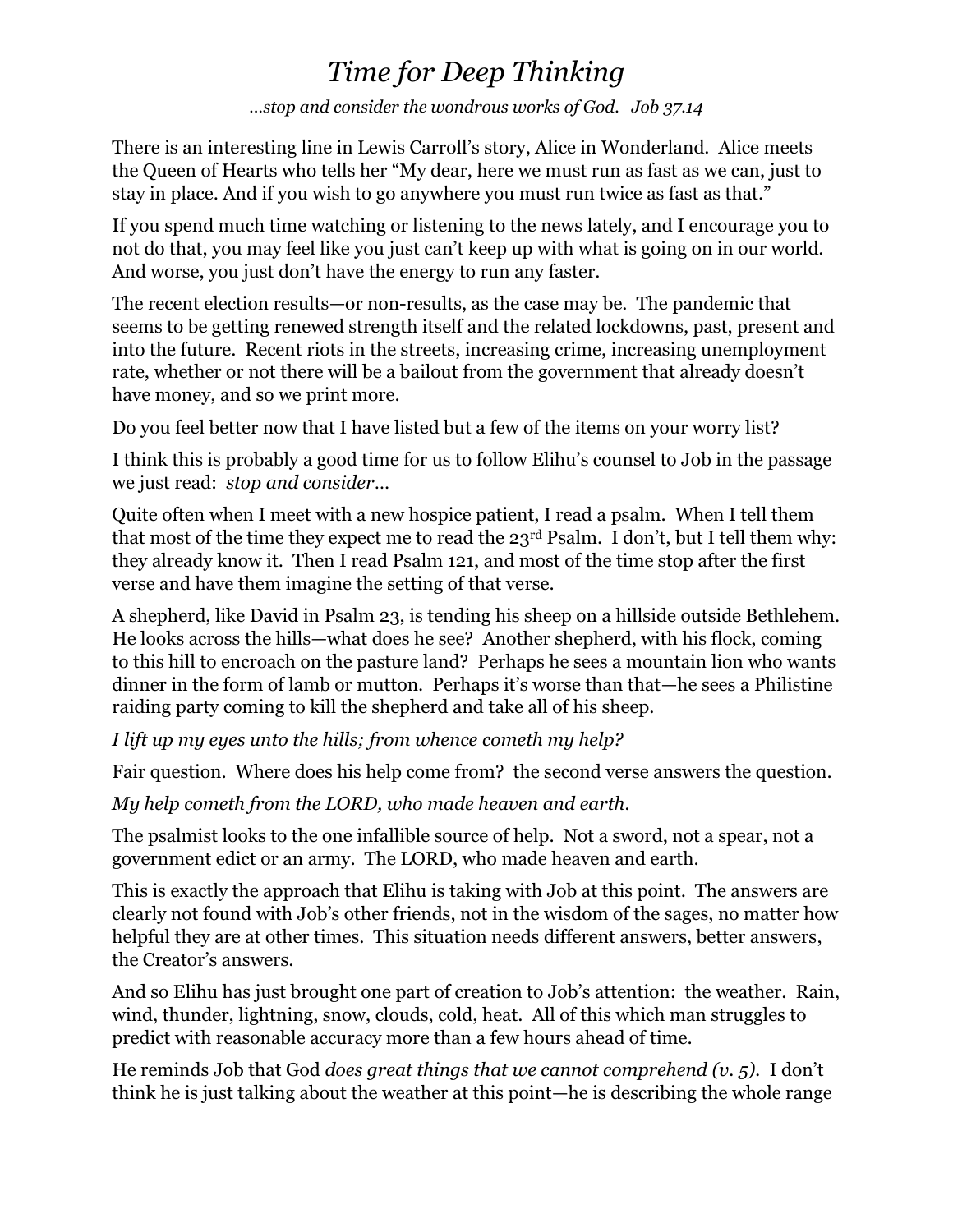# *Time for Deep Thinking*

*…stop and consider the wondrous works of God. Job 37.14*

There is an interesting line in Lewis Carroll's story, Alice in Wonderland. Alice meets the Queen of Hearts who tells her "My dear, here we must run as fast as we can, just to stay in place. And if you wish to go anywhere you must run twice as fast as that."

If you spend much time watching or listening to the news lately, and I encourage you to not do that, you may feel like you just can't keep up with what is going on in our world. And worse, you just don't have the energy to run any faster.

The recent election results—or non-results, as the case may be. The pandemic that seems to be getting renewed strength itself and the related lockdowns, past, present and into the future. Recent riots in the streets, increasing crime, increasing unemployment rate, whether or not there will be a bailout from the government that already doesn't have money, and so we print more.

Do you feel better now that I have listed but a few of the items on your worry list?

I think this is probably a good time for us to follow Elihu's counsel to Job in the passage we just read: *stop and consider*…

Quite often when I meet with a new hospice patient, I read a psalm. When I tell them that most of the time they expect me to read the 23rd Psalm. I don't, but I tell them why: they already know it. Then I read Psalm 121, and most of the time stop after the first verse and have them imagine the setting of that verse.

A shepherd, like David in Psalm 23, is tending his sheep on a hillside outside Bethlehem. He looks across the hills—what does he see? Another shepherd, with his flock, coming to this hill to encroach on the pasture land? Perhaps he sees a mountain lion who wants dinner in the form of lamb or mutton. Perhaps it's worse than that—he sees a Philistine raiding party coming to kill the shepherd and take all of his sheep.

*I lift up my eyes unto the hills; from whence cometh my help?*

Fair question. Where does his help come from? the second verse answers the question.

*My help cometh from the LORD, who made heaven and earth.*

The psalmist looks to the one infallible source of help. Not a sword, not a spear, not a government edict or an army. The LORD, who made heaven and earth.

This is exactly the approach that Elihu is taking with Job at this point. The answers are clearly not found with Job's other friends, not in the wisdom of the sages, no matter how helpful they are at other times. This situation needs different answers, better answers, the Creator's answers.

And so Elihu has just brought one part of creation to Job's attention: the weather. Rain, wind, thunder, lightning, snow, clouds, cold, heat. All of this which man struggles to predict with reasonable accuracy more than a few hours ahead of time.

He reminds Job that God *does great things that we cannot comprehend (v. 5).* I don't think he is just talking about the weather at this point—he is describing the whole range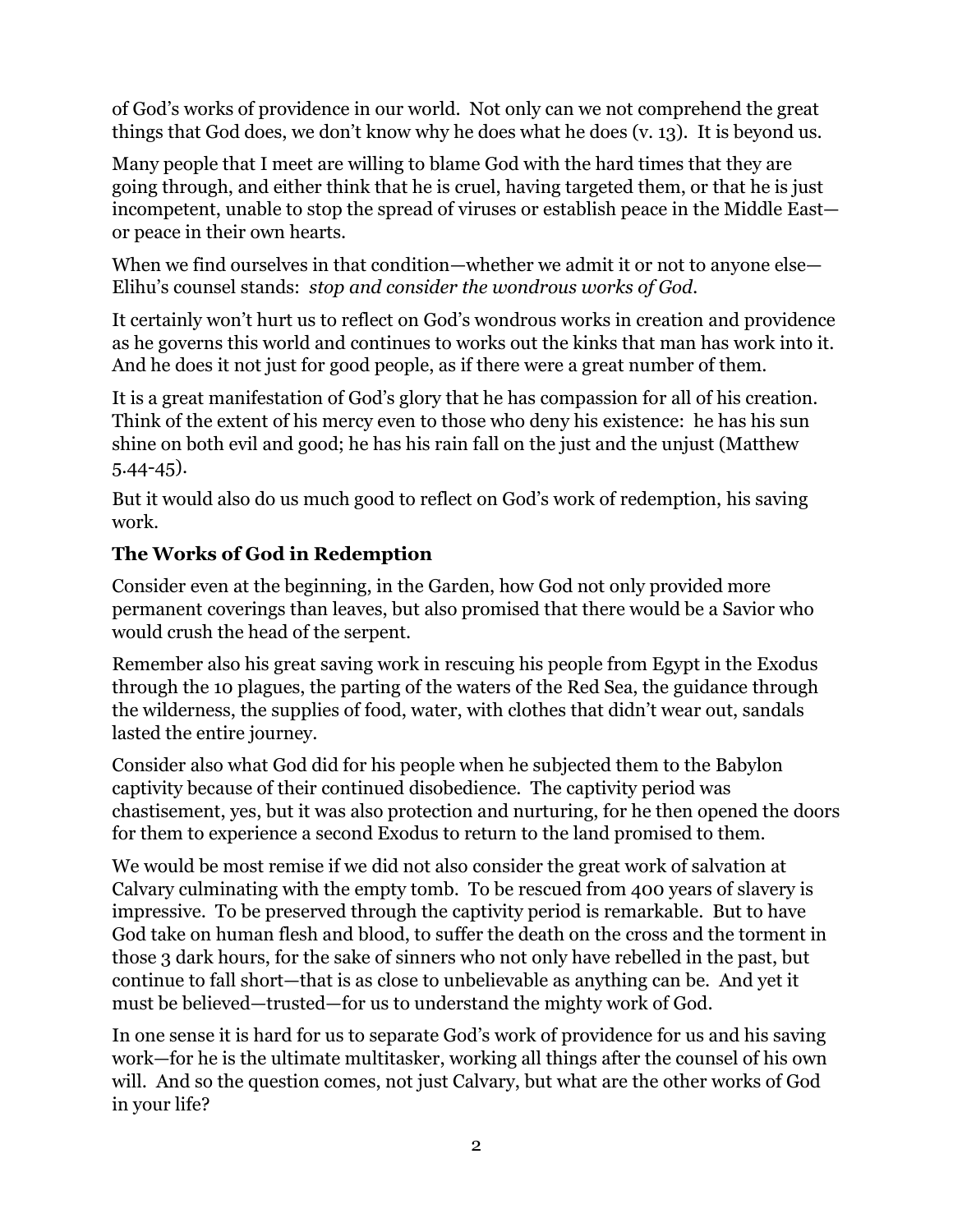of God's works of providence in our world. Not only can we not comprehend the great things that God does, we don't know why he does what he does (v. 13). It is beyond us.

Many people that I meet are willing to blame God with the hard times that they are going through, and either think that he is cruel, having targeted them, or that he is just incompetent, unable to stop the spread of viruses or establish peace in the Middle East or peace in their own hearts.

When we find ourselves in that condition—whether we admit it or not to anyone else— Elihu's counsel stands: *stop and consider the wondrous works of God.*

It certainly won't hurt us to reflect on God's wondrous works in creation and providence as he governs this world and continues to works out the kinks that man has work into it. And he does it not just for good people, as if there were a great number of them.

It is a great manifestation of God's glory that he has compassion for all of his creation. Think of the extent of his mercy even to those who deny his existence: he has his sun shine on both evil and good; he has his rain fall on the just and the unjust (Matthew 5.44-45).

But it would also do us much good to reflect on God's work of redemption, his saving work.

### **The Works of God in Redemption**

Consider even at the beginning, in the Garden, how God not only provided more permanent coverings than leaves, but also promised that there would be a Savior who would crush the head of the serpent.

Remember also his great saving work in rescuing his people from Egypt in the Exodus through the 10 plagues, the parting of the waters of the Red Sea, the guidance through the wilderness, the supplies of food, water, with clothes that didn't wear out, sandals lasted the entire journey.

Consider also what God did for his people when he subjected them to the Babylon captivity because of their continued disobedience. The captivity period was chastisement, yes, but it was also protection and nurturing, for he then opened the doors for them to experience a second Exodus to return to the land promised to them.

We would be most remise if we did not also consider the great work of salvation at Calvary culminating with the empty tomb. To be rescued from 400 years of slavery is impressive. To be preserved through the captivity period is remarkable. But to have God take on human flesh and blood, to suffer the death on the cross and the torment in those 3 dark hours, for the sake of sinners who not only have rebelled in the past, but continue to fall short—that is as close to unbelievable as anything can be. And yet it must be believed—trusted—for us to understand the mighty work of God.

In one sense it is hard for us to separate God's work of providence for us and his saving work—for he is the ultimate multitasker, working all things after the counsel of his own will. And so the question comes, not just Calvary, but what are the other works of God in your life?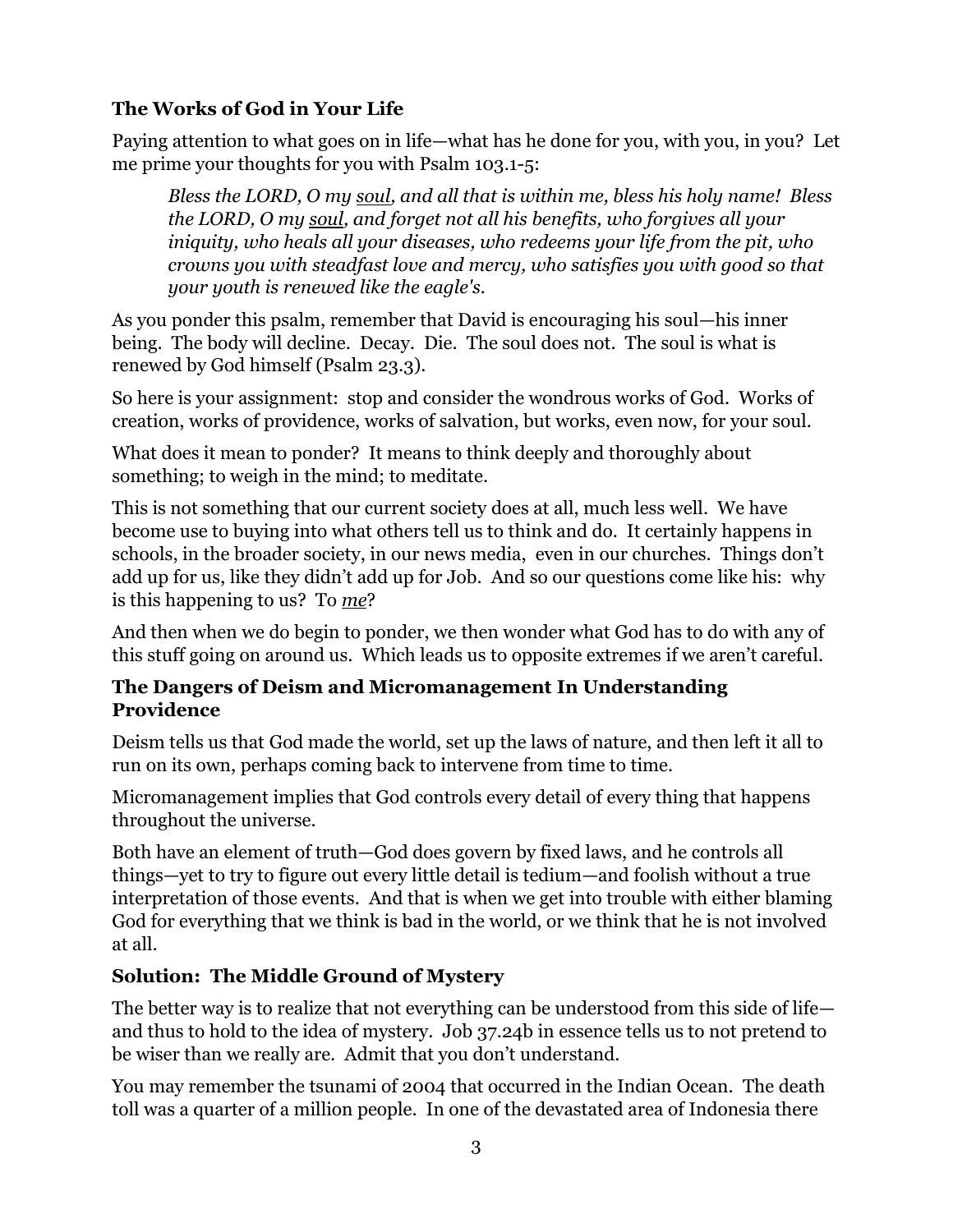## **The Works of God in Your Life**

Paying attention to what goes on in life—what has he done for you, with you, in you? Let me prime your thoughts for you with Psalm 103.1-5:

*Bless the LORD, O my soul, and all that is within me, bless his holy name! Bless the LORD, O my soul, and forget not all his benefits, who forgives all your iniquity, who heals all your diseases, who redeems your life from the pit, who crowns you with steadfast love and mercy, who satisfies you with good so that your youth is renewed like the eagle's.*

As you ponder this psalm, remember that David is encouraging his soul—his inner being. The body will decline. Decay. Die. The soul does not. The soul is what is renewed by God himself (Psalm 23.3).

So here is your assignment: stop and consider the wondrous works of God. Works of creation, works of providence, works of salvation, but works, even now, for your soul.

What does it mean to ponder? It means to think deeply and thoroughly about something; to weigh in the mind; to meditate.

This is not something that our current society does at all, much less well. We have become use to buying into what others tell us to think and do. It certainly happens in schools, in the broader society, in our news media, even in our churches. Things don't add up for us, like they didn't add up for Job. And so our questions come like his: why is this happening to us? To *me*?

And then when we do begin to ponder, we then wonder what God has to do with any of this stuff going on around us. Which leads us to opposite extremes if we aren't careful.

#### **The Dangers of Deism and Micromanagement In Understanding Providence**

Deism tells us that God made the world, set up the laws of nature, and then left it all to run on its own, perhaps coming back to intervene from time to time.

Micromanagement implies that God controls every detail of every thing that happens throughout the universe.

Both have an element of truth—God does govern by fixed laws, and he controls all things—yet to try to figure out every little detail is tedium—and foolish without a true interpretation of those events. And that is when we get into trouble with either blaming God for everything that we think is bad in the world, or we think that he is not involved at all.

#### **Solution: The Middle Ground of Mystery**

The better way is to realize that not everything can be understood from this side of life and thus to hold to the idea of mystery. Job 37.24b in essence tells us to not pretend to be wiser than we really are. Admit that you don't understand.

You may remember the tsunami of 2004 that occurred in the Indian Ocean. The death toll was a quarter of a million people. In one of the devastated area of Indonesia there